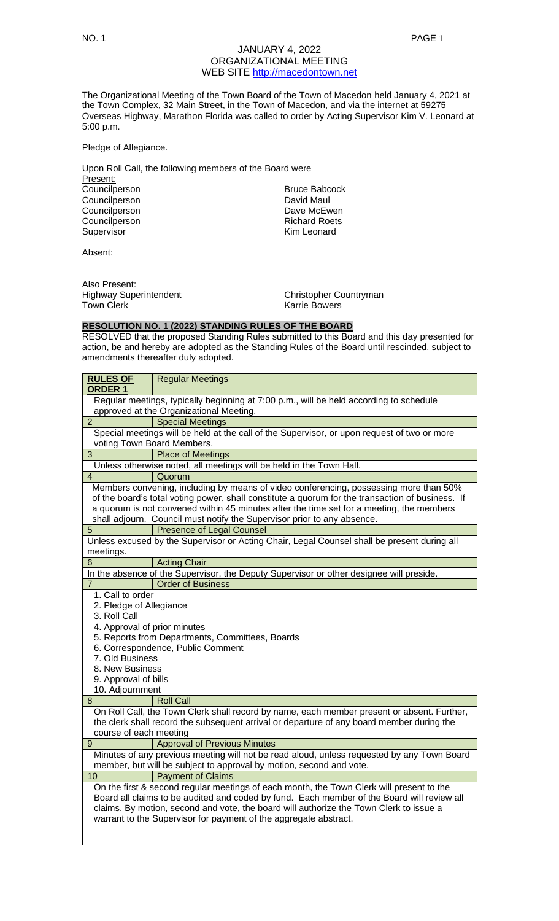The Organizational Meeting of the Town Board of the Town of Macedon held January 4, 2021 at the Town Complex, 32 Main Street, in the Town of Macedon, and via the internet at 59275 Overseas Highway, Marathon Florida was called to order by Acting Supervisor Kim V. Leonard at 5:00 p.m.

Pledge of Allegiance.

| Upon Roll Call, the following members of the Board were |  |  |  |  |
|---------------------------------------------------------|--|--|--|--|
|                                                         |  |  |  |  |
| <b>Bruce Babcock</b>                                    |  |  |  |  |
| David Maul                                              |  |  |  |  |
| Dave McEwen                                             |  |  |  |  |
| <b>Richard Roets</b>                                    |  |  |  |  |
| Kim Leonard                                             |  |  |  |  |
|                                                         |  |  |  |  |

Absent:

Also Present: Highway Superintendent Christopher Countryman Town Clerk **Karrie Bowers Karrie Bowers** 

# **RESOLUTION NO. 1 (2022) STANDING RULES OF THE BOARD**

RESOLVED that the proposed Standing Rules submitted to this Board and this day presented for action, be and hereby are adopted as the Standing Rules of the Board until rescinded, subject to amendments thereafter duly adopted.

| <b>RULES OF</b><br><b>ORDER 1</b>                                                      | <b>Regular Meetings</b>                                                                                                                                                                                                                                                                                                                              |  |  |  |
|----------------------------------------------------------------------------------------|------------------------------------------------------------------------------------------------------------------------------------------------------------------------------------------------------------------------------------------------------------------------------------------------------------------------------------------------------|--|--|--|
| Regular meetings, typically beginning at 7:00 p.m., will be held according to schedule |                                                                                                                                                                                                                                                                                                                                                      |  |  |  |
| approved at the Organizational Meeting.                                                |                                                                                                                                                                                                                                                                                                                                                      |  |  |  |
| $\overline{2}$                                                                         | <b>Special Meetings</b>                                                                                                                                                                                                                                                                                                                              |  |  |  |
|                                                                                        | Special meetings will be held at the call of the Supervisor, or upon request of two or more                                                                                                                                                                                                                                                          |  |  |  |
|                                                                                        | voting Town Board Members.                                                                                                                                                                                                                                                                                                                           |  |  |  |
| $\overline{3}$                                                                         | <b>Place of Meetings</b>                                                                                                                                                                                                                                                                                                                             |  |  |  |
|                                                                                        | Unless otherwise noted, all meetings will be held in the Town Hall.                                                                                                                                                                                                                                                                                  |  |  |  |
| $\overline{4}$                                                                         | Quorum                                                                                                                                                                                                                                                                                                                                               |  |  |  |
|                                                                                        | Members convening, including by means of video conferencing, possessing more than 50%                                                                                                                                                                                                                                                                |  |  |  |
|                                                                                        | of the board's total voting power, shall constitute a quorum for the transaction of business. If                                                                                                                                                                                                                                                     |  |  |  |
|                                                                                        | a quorum is not convened within 45 minutes after the time set for a meeting, the members                                                                                                                                                                                                                                                             |  |  |  |
|                                                                                        | shall adjourn. Council must notify the Supervisor prior to any absence.                                                                                                                                                                                                                                                                              |  |  |  |
| 5                                                                                      | <b>Presence of Legal Counsel</b>                                                                                                                                                                                                                                                                                                                     |  |  |  |
|                                                                                        | Unless excused by the Supervisor or Acting Chair, Legal Counsel shall be present during all                                                                                                                                                                                                                                                          |  |  |  |
| meetings.                                                                              |                                                                                                                                                                                                                                                                                                                                                      |  |  |  |
| 6                                                                                      | <b>Acting Chair</b>                                                                                                                                                                                                                                                                                                                                  |  |  |  |
|                                                                                        | In the absence of the Supervisor, the Deputy Supervisor or other designee will preside.                                                                                                                                                                                                                                                              |  |  |  |
| 7                                                                                      | <b>Order of Business</b>                                                                                                                                                                                                                                                                                                                             |  |  |  |
| 1. Call to order<br>2. Pledge of Allegiance<br>3. Roll Call                            |                                                                                                                                                                                                                                                                                                                                                      |  |  |  |
| 4. Approval of prior minutes                                                           |                                                                                                                                                                                                                                                                                                                                                      |  |  |  |
|                                                                                        | 5. Reports from Departments, Committees, Boards                                                                                                                                                                                                                                                                                                      |  |  |  |
|                                                                                        | 6. Correspondence, Public Comment                                                                                                                                                                                                                                                                                                                    |  |  |  |
| 7. Old Business                                                                        |                                                                                                                                                                                                                                                                                                                                                      |  |  |  |
| 8. New Business                                                                        |                                                                                                                                                                                                                                                                                                                                                      |  |  |  |
| 9. Approval of bills                                                                   |                                                                                                                                                                                                                                                                                                                                                      |  |  |  |
| 10. Adjournment                                                                        |                                                                                                                                                                                                                                                                                                                                                      |  |  |  |
| 8                                                                                      | <b>Roll Call</b>                                                                                                                                                                                                                                                                                                                                     |  |  |  |
|                                                                                        | On Roll Call, the Town Clerk shall record by name, each member present or absent. Further,<br>the clerk shall record the subsequent arrival or departure of any board member during the                                                                                                                                                              |  |  |  |
| course of each meeting                                                                 |                                                                                                                                                                                                                                                                                                                                                      |  |  |  |
| $9\,$                                                                                  | <b>Approval of Previous Minutes</b>                                                                                                                                                                                                                                                                                                                  |  |  |  |
|                                                                                        | Minutes of any previous meeting will not be read aloud, unless requested by any Town Board<br>member, but will be subject to approval by motion, second and vote.                                                                                                                                                                                    |  |  |  |
| 10                                                                                     | <b>Payment of Claims</b>                                                                                                                                                                                                                                                                                                                             |  |  |  |
|                                                                                        | On the first & second regular meetings of each month, the Town Clerk will present to the<br>Board all claims to be audited and coded by fund. Each member of the Board will review all<br>claims. By motion, second and vote, the board will authorize the Town Clerk to issue a<br>warrant to the Supervisor for payment of the aggregate abstract. |  |  |  |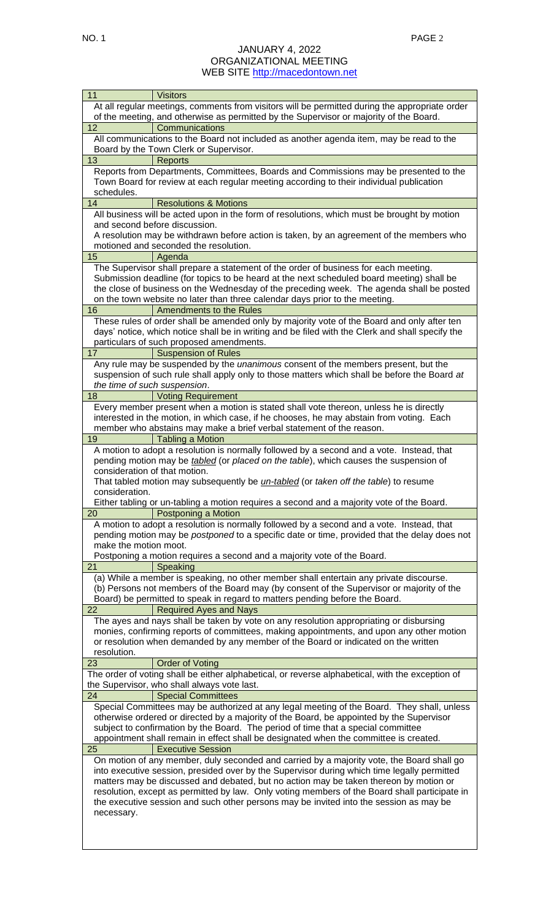| 11                            | <b>Visitors</b>                                                                                                                                                                    |
|-------------------------------|------------------------------------------------------------------------------------------------------------------------------------------------------------------------------------|
|                               | At all regular meetings, comments from visitors will be permitted during the appropriate order                                                                                     |
|                               | of the meeting, and otherwise as permitted by the Supervisor or majority of the Board.                                                                                             |
| 12                            | Communications                                                                                                                                                                     |
|                               | All communications to the Board not included as another agenda item, may be read to the<br>Board by the Town Clerk or Supervisor.                                                  |
| 13                            | <b>Reports</b>                                                                                                                                                                     |
|                               | Reports from Departments, Committees, Boards and Commissions may be presented to the                                                                                               |
|                               | Town Board for review at each regular meeting according to their individual publication                                                                                            |
| schedules.                    |                                                                                                                                                                                    |
| 14                            | <b>Resolutions &amp; Motions</b>                                                                                                                                                   |
|                               | All business will be acted upon in the form of resolutions, which must be brought by motion                                                                                        |
|                               | and second before discussion.                                                                                                                                                      |
|                               | A resolution may be withdrawn before action is taken, by an agreement of the members who                                                                                           |
| 15                            | motioned and seconded the resolution.<br>Agenda                                                                                                                                    |
|                               | The Supervisor shall prepare a statement of the order of business for each meeting.                                                                                                |
|                               | Submission deadline (for topics to be heard at the next scheduled board meeting) shall be                                                                                          |
|                               | the close of business on the Wednesday of the preceding week. The agenda shall be posted                                                                                           |
|                               | on the town website no later than three calendar days prior to the meeting.                                                                                                        |
| 16                            | Amendments to the Rules                                                                                                                                                            |
|                               | These rules of order shall be amended only by majority vote of the Board and only after ten                                                                                        |
|                               | days' notice, which notice shall be in writing and be filed with the Clerk and shall specify the                                                                                   |
|                               | particulars of such proposed amendments.                                                                                                                                           |
| 17                            | <b>Suspension of Rules</b>                                                                                                                                                         |
|                               | Any rule may be suspended by the unanimous consent of the members present, but the<br>suspension of such rule shall apply only to those matters which shall be before the Board at |
|                               | the time of such suspension.                                                                                                                                                       |
| 18                            | <b>Voting Requirement</b>                                                                                                                                                          |
|                               | Every member present when a motion is stated shall vote thereon, unless he is directly                                                                                             |
|                               | interested in the motion, in which case, if he chooses, he may abstain from voting. Each                                                                                           |
|                               | member who abstains may make a brief verbal statement of the reason.                                                                                                               |
| 19                            | <b>Tabling a Motion</b>                                                                                                                                                            |
|                               | A motion to adopt a resolution is normally followed by a second and a vote. Instead, that                                                                                          |
|                               | pending motion may be <i>tabled</i> (or placed on the table), which causes the suspension of                                                                                       |
| consideration of that motion. | That tabled motion may subsequently be <i>un-tabled</i> (or taken off the table) to resume                                                                                         |
| consideration.                |                                                                                                                                                                                    |
|                               | Either tabling or un-tabling a motion requires a second and a majority vote of the Board.                                                                                          |
| 20                            | Postponing a Motion                                                                                                                                                                |
|                               | A motion to adopt a resolution is normally followed by a second and a vote. Instead, that                                                                                          |
|                               | pending motion may be <i>postponed</i> to a specific date or time, provided that the delay does not                                                                                |
| make the motion moot.         |                                                                                                                                                                                    |
|                               | Postponing a motion requires a second and a majority vote of the Board.                                                                                                            |
| 21                            | Speaking<br>(a) While a member is speaking, no other member shall entertain any private discourse.                                                                                 |
|                               |                                                                                                                                                                                    |
|                               |                                                                                                                                                                                    |
|                               | (b) Persons not members of the Board may (by consent of the Supervisor or majority of the                                                                                          |
| 22                            | Board) be permitted to speak in regard to matters pending before the Board.                                                                                                        |
|                               | <b>Required Ayes and Nays</b>                                                                                                                                                      |
|                               | The ayes and nays shall be taken by vote on any resolution appropriating or disbursing<br>monies, confirming reports of committees, making appointments, and upon any other motion |
|                               | or resolution when demanded by any member of the Board or indicated on the written                                                                                                 |
| resolution.                   |                                                                                                                                                                                    |
| 23                            | <b>Order of Voting</b>                                                                                                                                                             |
|                               | The order of voting shall be either alphabetical, or reverse alphabetical, with the exception of                                                                                   |
|                               | the Supervisor, who shall always vote last.                                                                                                                                        |
| 24                            | <b>Special Committees</b>                                                                                                                                                          |
|                               | Special Committees may be authorized at any legal meeting of the Board. They shall, unless                                                                                         |
|                               | otherwise ordered or directed by a majority of the Board, be appointed by the Supervisor                                                                                           |
|                               | subject to confirmation by the Board. The period of time that a special committee<br>appointment shall remain in effect shall be designated when the committee is created.         |
| 25                            | <b>Executive Session</b>                                                                                                                                                           |
|                               | On motion of any member, duly seconded and carried by a majority vote, the Board shall go                                                                                          |
|                               | into executive session, presided over by the Supervisor during which time legally permitted                                                                                        |
|                               | matters may be discussed and debated, but no action may be taken thereon by motion or                                                                                              |
|                               | resolution, except as permitted by law. Only voting members of the Board shall participate in                                                                                      |
|                               | the executive session and such other persons may be invited into the session as may be                                                                                             |
| necessary.                    |                                                                                                                                                                                    |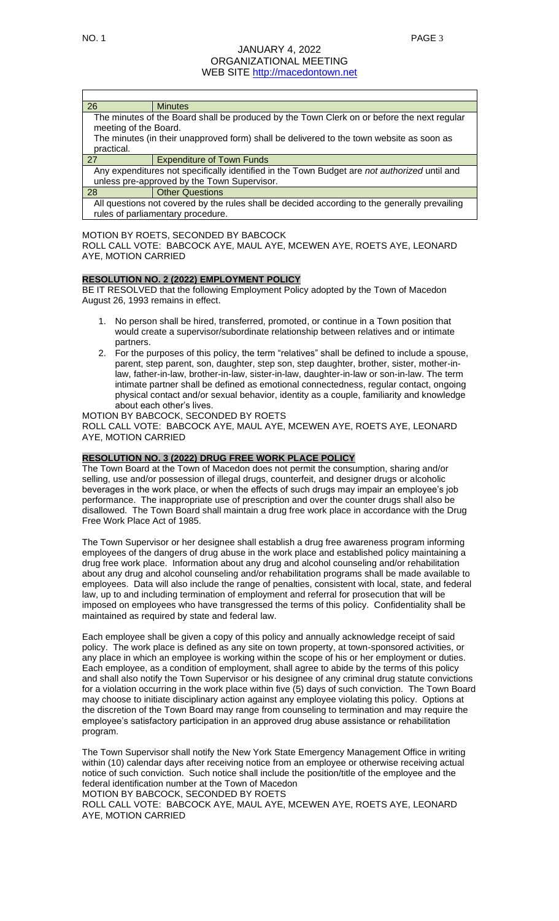| 26                    | <b>Minutes</b>                                                                               |
|-----------------------|----------------------------------------------------------------------------------------------|
|                       | The minutes of the Board shall be produced by the Town Clerk on or before the next regular   |
| meeting of the Board. |                                                                                              |
|                       | The minutes (in their unapproved form) shall be delivered to the town website as soon as     |
| practical.            |                                                                                              |
| 27                    | <b>Expenditure of Town Funds</b>                                                             |
|                       | Any expenditures not specifically identified in the Town Budget are not authorized until and |
|                       | unless pre-approved by the Town Supervisor.                                                  |

28 **Other Questions** 

All questions not covered by the rules shall be decided according to the generally prevailing rules of parliamentary procedure.

## MOTION BY ROETS, SECONDED BY BABCOCK

ROLL CALL VOTE: BABCOCK AYE, MAUL AYE, MCEWEN AYE, ROETS AYE, LEONARD AYE, MOTION CARRIED

## **RESOLUTION NO. 2 (2022) EMPLOYMENT POLICY**

BE IT RESOLVED that the following Employment Policy adopted by the Town of Macedon August 26, 1993 remains in effect.

- 1. No person shall be hired, transferred, promoted, or continue in a Town position that would create a supervisor/subordinate relationship between relatives and or intimate partners.
- 2. For the purposes of this policy, the term "relatives" shall be defined to include a spouse, parent, step parent, son, daughter, step son, step daughter, brother, sister, mother-inlaw, father-in-law, brother-in-law, sister-in-law, daughter-in-law or son-in-law. The term intimate partner shall be defined as emotional connectedness, regular contact, ongoing physical contact and/or sexual behavior, identity as a couple, familiarity and knowledge about each other's lives.

## MOTION BY BABCOCK, SECONDED BY ROETS

ROLL CALL VOTE: BABCOCK AYE, MAUL AYE, MCEWEN AYE, ROETS AYE, LEONARD AYE, MOTION CARRIED

# **RESOLUTION NO. 3 (2022) DRUG FREE WORK PLACE POLICY**

The Town Board at the Town of Macedon does not permit the consumption, sharing and/or selling, use and/or possession of illegal drugs, counterfeit, and designer drugs or alcoholic beverages in the work place, or when the effects of such drugs may impair an employee's job performance. The inappropriate use of prescription and over the counter drugs shall also be disallowed. The Town Board shall maintain a drug free work place in accordance with the Drug Free Work Place Act of 1985.

The Town Supervisor or her designee shall establish a drug free awareness program informing employees of the dangers of drug abuse in the work place and established policy maintaining a drug free work place. Information about any drug and alcohol counseling and/or rehabilitation about any drug and alcohol counseling and/or rehabilitation programs shall be made available to employees. Data will also include the range of penalties, consistent with local, state, and federal law, up to and including termination of employment and referral for prosecution that will be imposed on employees who have transgressed the terms of this policy. Confidentiality shall be maintained as required by state and federal law.

Each employee shall be given a copy of this policy and annually acknowledge receipt of said policy. The work place is defined as any site on town property, at town-sponsored activities, or any place in which an employee is working within the scope of his or her employment or duties. Each employee, as a condition of employment, shall agree to abide by the terms of this policy and shall also notify the Town Supervisor or his designee of any criminal drug statute convictions for a violation occurring in the work place within five (5) days of such conviction. The Town Board may choose to initiate disciplinary action against any employee violating this policy. Options at the discretion of the Town Board may range from counseling to termination and may require the employee's satisfactory participation in an approved drug abuse assistance or rehabilitation program.

The Town Supervisor shall notify the New York State Emergency Management Office in writing within (10) calendar days after receiving notice from an employee or otherwise receiving actual notice of such conviction. Such notice shall include the position/title of the employee and the federal identification number at the Town of Macedon

MOTION BY BABCOCK, SECONDED BY ROETS

ROLL CALL VOTE: BABCOCK AYE, MAUL AYE, MCEWEN AYE, ROETS AYE, LEONARD AYE, MOTION CARRIED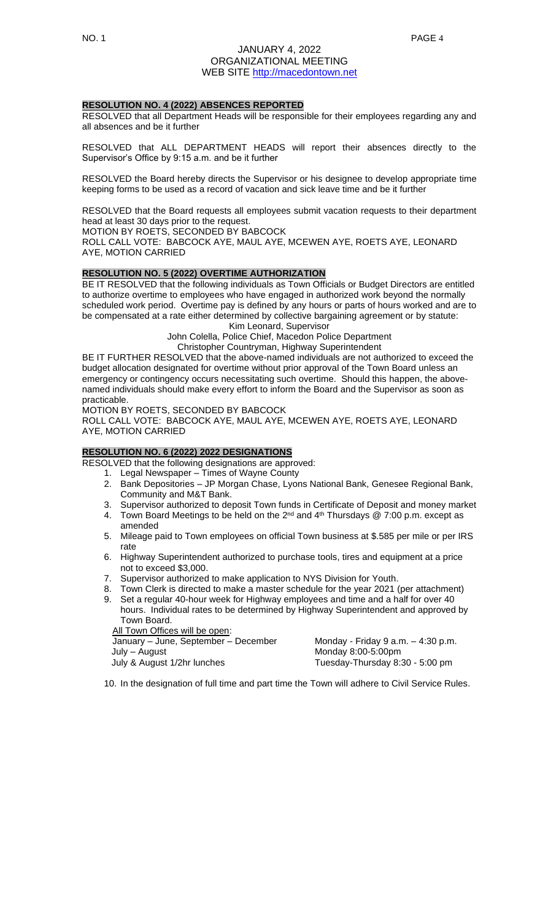## **RESOLUTION NO. 4 (2022) ABSENCES REPORTED**

RESOLVED that all Department Heads will be responsible for their employees regarding any and all absences and be it further

RESOLVED that ALL DEPARTMENT HEADS will report their absences directly to the Supervisor's Office by 9:15 a.m. and be it further

RESOLVED the Board hereby directs the Supervisor or his designee to develop appropriate time keeping forms to be used as a record of vacation and sick leave time and be it further

RESOLVED that the Board requests all employees submit vacation requests to their department head at least 30 days prior to the request.

MOTION BY ROETS, SECONDED BY BABCOCK

ROLL CALL VOTE: BABCOCK AYE, MAUL AYE, MCEWEN AYE, ROETS AYE, LEONARD AYE, MOTION CARRIED

## **RESOLUTION NO. 5 (2022) OVERTIME AUTHORIZATION**

BE IT RESOLVED that the following individuals as Town Officials or Budget Directors are entitled to authorize overtime to employees who have engaged in authorized work beyond the normally scheduled work period. Overtime pay is defined by any hours or parts of hours worked and are to be compensated at a rate either determined by collective bargaining agreement or by statute:

Kim Leonard, Supervisor

John Colella, Police Chief, Macedon Police Department

Christopher Countryman, Highway Superintendent

BE IT FURTHER RESOLVED that the above-named individuals are not authorized to exceed the budget allocation designated for overtime without prior approval of the Town Board unless an emergency or contingency occurs necessitating such overtime. Should this happen, the abovenamed individuals should make every effort to inform the Board and the Supervisor as soon as practicable.

MOTION BY ROETS, SECONDED BY BABCOCK

ROLL CALL VOTE: BABCOCK AYE, MAUL AYE, MCEWEN AYE, ROETS AYE, LEONARD AYE, MOTION CARRIED

# **RESOLUTION NO. 6 (2022) 2022 DESIGNATIONS**

RESOLVED that the following designations are approved:

- 1. Legal Newspaper Times of Wayne County
- 2. Bank Depositories JP Morgan Chase, Lyons National Bank, Genesee Regional Bank, Community and M&T Bank.
- 3. Supervisor authorized to deposit Town funds in Certificate of Deposit and money market
- 4. Town Board Meetings to be held on the 2<sup>nd</sup> and 4<sup>th</sup> Thursdays @ 7:00 p.m. except as amended
- 5. Mileage paid to Town employees on official Town business at \$.585 per mile or per IRS rate
- 6. Highway Superintendent authorized to purchase tools, tires and equipment at a price not to exceed \$3,000.
- 7. Supervisor authorized to make application to NYS Division for Youth.
- Town Clerk is directed to make a master schedule for the year 2021 (per attachment) 9. Set a regular 40-hour week for Highway employees and time and a half for over 40
- hours. Individual rates to be determined by Highway Superintendent and approved by Town Board.

**All Town Offices will be open:** 

January – June, September – December Monday - Friday 9 a.m. – 4:30 p.m.<br>July – August Monday 8:00-5:00pm Monday 8:00-5:00pm July & August 1/2hr lunches Tuesday-Thursday 8:30 - 5:00 pm

10. In the designation of full time and part time the Town will adhere to Civil Service Rules.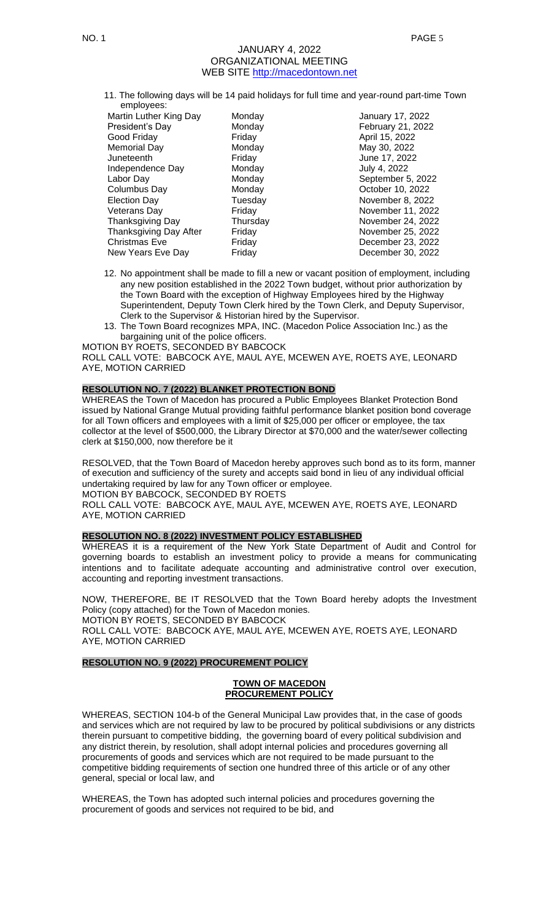11. The following days will be 14 paid holidays for full time and year-round part-time Town employees:

| cuploves.              |          |                   |
|------------------------|----------|-------------------|
| Martin Luther King Day | Monday   | January 17, 2022  |
| President's Day        | Monday   | February 21, 2022 |
| Good Friday            | Friday   | April 15, 2022    |
| Memorial Day           | Monday   | May 30, 2022      |
| Juneteenth             | Friday   | June 17, 2022     |
| Independence Day       | Monday   | July 4, 2022      |
| Labor Day              | Monday   | September 5, 2022 |
| Columbus Day           | Monday   | October 10, 2022  |
| <b>Election Day</b>    | Tuesday  | November 8, 2022  |
| Veterans Day           | Friday   | November 11, 2022 |
| Thanksgiving Day       | Thursday | November 24, 2022 |
| Thanksgiving Day After | Friday   | November 25, 2022 |
| Christmas Eve          | Friday   | December 23, 2022 |
| New Years Eve Day      | Friday   | December 30, 2022 |

- 12. No appointment shall be made to fill a new or vacant position of employment, including any new position established in the 2022 Town budget, without prior authorization by the Town Board with the exception of Highway Employees hired by the Highway Superintendent, Deputy Town Clerk hired by the Town Clerk, and Deputy Supervisor, Clerk to the Supervisor & Historian hired by the Supervisor.
- 13. The Town Board recognizes MPA, INC. (Macedon Police Association Inc.) as the bargaining unit of the police officers.

MOTION BY ROETS, SECONDED BY BABCOCK

ROLL CALL VOTE: BABCOCK AYE, MAUL AYE, MCEWEN AYE, ROETS AYE, LEONARD AYE, MOTION CARRIED

# **RESOLUTION NO. 7 (2022) BLANKET PROTECTION BOND**

WHEREAS the Town of Macedon has procured a Public Employees Blanket Protection Bond issued by National Grange Mutual providing faithful performance blanket position bond coverage for all Town officers and employees with a limit of \$25,000 per officer or employee, the tax collector at the level of \$500,000, the Library Director at \$70,000 and the water/sewer collecting clerk at \$150,000, now therefore be it

RESOLVED, that the Town Board of Macedon hereby approves such bond as to its form, manner of execution and sufficiency of the surety and accepts said bond in lieu of any individual official undertaking required by law for any Town officer or employee. MOTION BY BABCOCK, SECONDED BY ROETS ROLL CALL VOTE: BABCOCK AYE, MAUL AYE, MCEWEN AYE, ROETS AYE, LEONARD AYE, MOTION CARRIED

**RESOLUTION NO. 8 (2022) INVESTMENT POLICY ESTABLISHED**

WHEREAS it is a requirement of the New York State Department of Audit and Control for governing boards to establish an investment policy to provide a means for communicating intentions and to facilitate adequate accounting and administrative control over execution, accounting and reporting investment transactions.

NOW, THEREFORE, BE IT RESOLVED that the Town Board hereby adopts the Investment Policy (copy attached) for the Town of Macedon monies. MOTION BY ROETS, SECONDED BY BABCOCK ROLL CALL VOTE: BABCOCK AYE, MAUL AYE, MCEWEN AYE, ROETS AYE, LEONARD AYE, MOTION CARRIED

# **RESOLUTION NO. 9 (2022) PROCUREMENT POLICY**

#### **TOWN OF MACEDON PROCUREMENT POLICY**

WHEREAS, SECTION 104-b of the General Municipal Law provides that, in the case of goods and services which are not required by law to be procured by political subdivisions or any districts therein pursuant to competitive bidding, the governing board of every political subdivision and any district therein, by resolution, shall adopt internal policies and procedures governing all procurements of goods and services which are not required to be made pursuant to the competitive bidding requirements of section one hundred three of this article or of any other general, special or local law, and

WHEREAS, the Town has adopted such internal policies and procedures governing the procurement of goods and services not required to be bid, and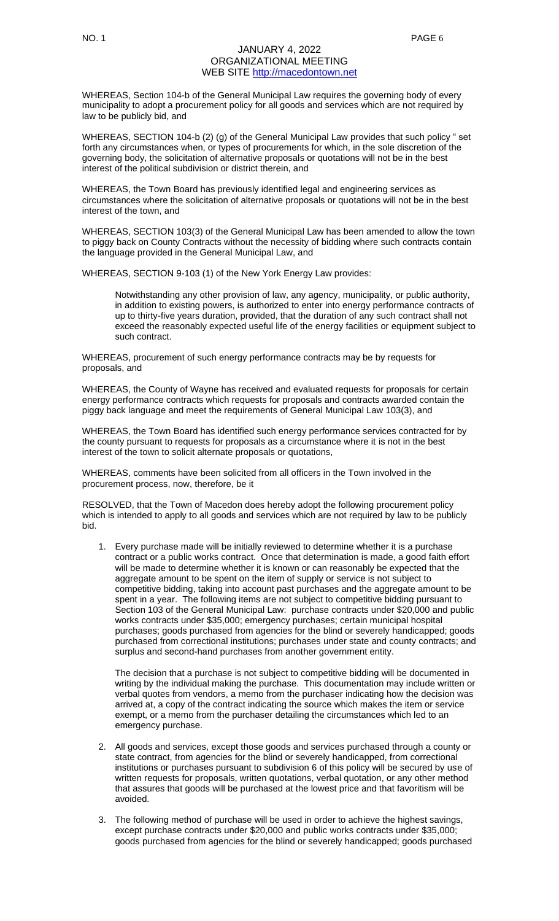WHEREAS, Section 104-b of the General Municipal Law requires the governing body of every municipality to adopt a procurement policy for all goods and services which are not required by law to be publicly bid, and

WHEREAS, SECTION 104-b (2) (g) of the General Municipal Law provides that such policy " set forth any circumstances when, or types of procurements for which, in the sole discretion of the governing body, the solicitation of alternative proposals or quotations will not be in the best interest of the political subdivision or district therein, and

WHEREAS, the Town Board has previously identified legal and engineering services as circumstances where the solicitation of alternative proposals or quotations will not be in the best interest of the town, and

WHEREAS, SECTION 103(3) of the General Municipal Law has been amended to allow the town to piggy back on County Contracts without the necessity of bidding where such contracts contain the language provided in the General Municipal Law, and

WHEREAS, SECTION 9-103 (1) of the New York Energy Law provides:

Notwithstanding any other provision of law, any agency, municipality, or public authority, in addition to existing powers, is authorized to enter into energy performance contracts of up to thirty-five years duration, provided, that the duration of any such contract shall not exceed the reasonably expected useful life of the energy facilities or equipment subject to such contract.

WHEREAS, procurement of such energy performance contracts may be by requests for proposals, and

WHEREAS, the County of Wayne has received and evaluated requests for proposals for certain energy performance contracts which requests for proposals and contracts awarded contain the piggy back language and meet the requirements of General Municipal Law 103(3), and

WHEREAS, the Town Board has identified such energy performance services contracted for by the county pursuant to requests for proposals as a circumstance where it is not in the best interest of the town to solicit alternate proposals or quotations,

WHEREAS, comments have been solicited from all officers in the Town involved in the procurement process, now, therefore, be it

RESOLVED, that the Town of Macedon does hereby adopt the following procurement policy which is intended to apply to all goods and services which are not required by law to be publicly bid.

1. Every purchase made will be initially reviewed to determine whether it is a purchase contract or a public works contract. Once that determination is made, a good faith effort will be made to determine whether it is known or can reasonably be expected that the aggregate amount to be spent on the item of supply or service is not subject to competitive bidding, taking into account past purchases and the aggregate amount to be spent in a year. The following items are not subject to competitive bidding pursuant to Section 103 of the General Municipal Law: purchase contracts under \$20,000 and public works contracts under \$35,000; emergency purchases; certain municipal hospital purchases; goods purchased from agencies for the blind or severely handicapped; goods purchased from correctional institutions; purchases under state and county contracts; and surplus and second-hand purchases from another government entity.

The decision that a purchase is not subject to competitive bidding will be documented in writing by the individual making the purchase. This documentation may include written or verbal quotes from vendors, a memo from the purchaser indicating how the decision was arrived at, a copy of the contract indicating the source which makes the item or service exempt, or a memo from the purchaser detailing the circumstances which led to an emergency purchase.

- 2. All goods and services, except those goods and services purchased through a county or state contract, from agencies for the blind or severely handicapped, from correctional institutions or purchases pursuant to subdivision 6 of this policy will be secured by use of written requests for proposals, written quotations, verbal quotation, or any other method that assures that goods will be purchased at the lowest price and that favoritism will be avoided.
- 3. The following method of purchase will be used in order to achieve the highest savings, except purchase contracts under \$20,000 and public works contracts under \$35,000; goods purchased from agencies for the blind or severely handicapped; goods purchased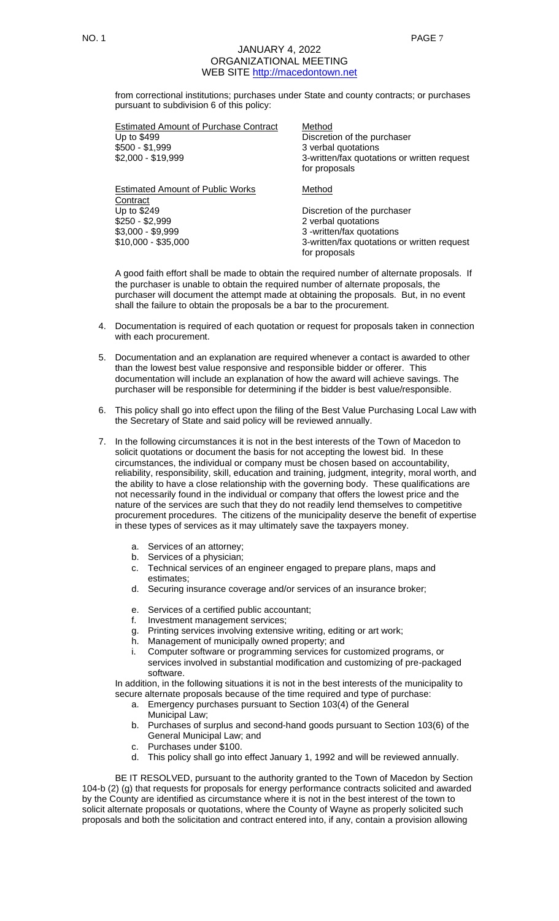from correctional institutions; purchases under State and county contracts; or purchases pursuant to subdivision 6 of this policy:

| <b>Estimated Amount of Purchase Contract</b><br>Up to \$499<br>$$500 - $1,999$<br>\$2,000 - \$19,999 | Method<br>Discretion of the purchaser<br>3 verbal quotations<br>3-written/fax quotations or written request<br>for proposals |
|------------------------------------------------------------------------------------------------------|------------------------------------------------------------------------------------------------------------------------------|
| <b>Estimated Amount of Public Works</b><br>Contract                                                  | Method                                                                                                                       |
| Up to \$249                                                                                          | Discretion of the purchaser                                                                                                  |
| $$250 - $2,999$                                                                                      | 2 verbal quotations                                                                                                          |
| $$3,000 - $9,999$                                                                                    | 3 -written/fax quotations                                                                                                    |
| $$10,000 - $35,000$                                                                                  | 3-written/fax quotations or written request                                                                                  |
|                                                                                                      | for proposals                                                                                                                |

A good faith effort shall be made to obtain the required number of alternate proposals. If the purchaser is unable to obtain the required number of alternate proposals, the purchaser will document the attempt made at obtaining the proposals. But, in no event shall the failure to obtain the proposals be a bar to the procurement.

- 4. Documentation is required of each quotation or request for proposals taken in connection with each procurement.
- 5. Documentation and an explanation are required whenever a contact is awarded to other than the lowest best value responsive and responsible bidder or offerer. This documentation will include an explanation of how the award will achieve savings. The purchaser will be responsible for determining if the bidder is best value/responsible.
- 6. This policy shall go into effect upon the filing of the Best Value Purchasing Local Law with the Secretary of State and said policy will be reviewed annually.
- 7. In the following circumstances it is not in the best interests of the Town of Macedon to solicit quotations or document the basis for not accepting the lowest bid. In these circumstances, the individual or company must be chosen based on accountability, reliability, responsibility, skill, education and training, judgment, integrity, moral worth, and the ability to have a close relationship with the governing body. These qualifications are not necessarily found in the individual or company that offers the lowest price and the nature of the services are such that they do not readily lend themselves to competitive procurement procedures. The citizens of the municipality deserve the benefit of expertise in these types of services as it may ultimately save the taxpayers money.
	- a. Services of an attorney;
	- b. Services of a physician;
	- c. Technical services of an engineer engaged to prepare plans, maps and estimates;
	- d. Securing insurance coverage and/or services of an insurance broker;
	- e. Services of a certified public accountant;
	- f. Investment management services;
	- g. Printing services involving extensive writing, editing or art work;
	- h. Management of municipally owned property; and
	- i. Computer software or programming services for customized programs, or services involved in substantial modification and customizing of pre-packaged software.

In addition, in the following situations it is not in the best interests of the municipality to secure alternate proposals because of the time required and type of purchase:

- a. Emergency purchases pursuant to Section 103(4) of the General Municipal Law;
- b. Purchases of surplus and second-hand goods pursuant to Section 103(6) of the General Municipal Law; and
- c. Purchases under \$100.
- d. This policy shall go into effect January 1, 1992 and will be reviewed annually.

BE IT RESOLVED, pursuant to the authority granted to the Town of Macedon by Section 104-b (2) (g) that requests for proposals for energy performance contracts solicited and awarded by the County are identified as circumstance where it is not in the best interest of the town to solicit alternate proposals or quotations, where the County of Wayne as properly solicited such proposals and both the solicitation and contract entered into, if any, contain a provision allowing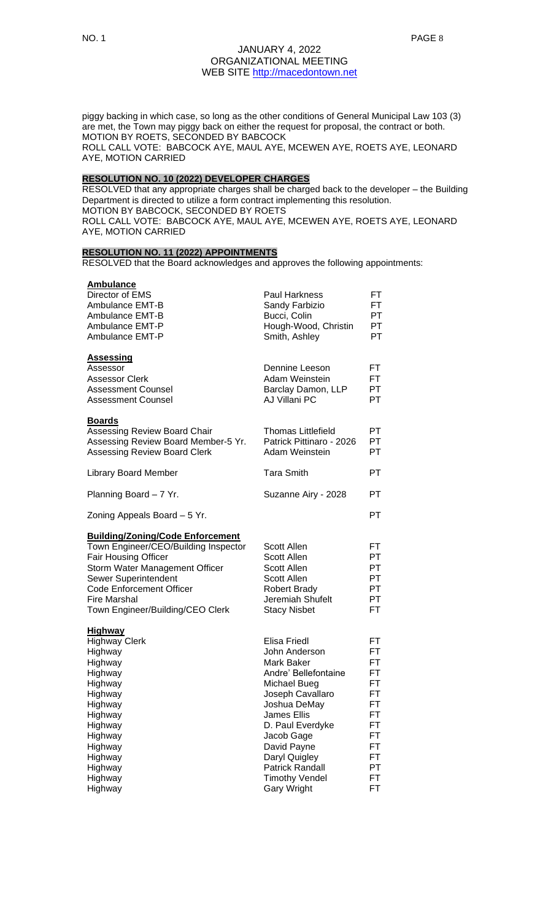piggy backing in which case, so long as the other conditions of General Municipal Law 103 (3) are met, the Town may piggy back on either the request for proposal, the contract or both. MOTION BY ROETS, SECONDED BY BABCOCK ROLL CALL VOTE: BABCOCK AYE, MAUL AYE, MCEWEN AYE, ROETS AYE, LEONARD AYE, MOTION CARRIED

# **RESOLUTION NO. 10 (2022) DEVELOPER CHARGES**

RESOLVED that any appropriate charges shall be charged back to the developer – the Building Department is directed to utilize a form contract implementing this resolution. MOTION BY BABCOCK, SECONDED BY ROETS ROLL CALL VOTE: BABCOCK AYE, MAUL AYE, MCEWEN AYE, ROETS AYE, LEONARD AYE, MOTION CARRIED

# **RESOLUTION NO. 11 (2022) APPOINTMENTS**

RESOLVED that the Board acknowledges and approves the following appointments:

| <b>Ambulance</b><br>Director of EMS<br>Ambulance EMT-B<br>Ambulance EMT-B<br>Ambulance EMT-P<br>Ambulance EMT-P                                                                                                                                                        | <b>Paul Harkness</b><br>Sandy Farbizio<br>Bucci, Colin<br>Hough-Wood, Christin<br>Smith, Ashley                                                                                                                                                                                          | FT<br>FT<br><b>PT</b><br>PT<br>PT                                                         |
|------------------------------------------------------------------------------------------------------------------------------------------------------------------------------------------------------------------------------------------------------------------------|------------------------------------------------------------------------------------------------------------------------------------------------------------------------------------------------------------------------------------------------------------------------------------------|-------------------------------------------------------------------------------------------|
| <b>Assessing</b><br>Assessor<br><b>Assessor Clerk</b><br><b>Assessment Counsel</b><br><b>Assessment Counsel</b>                                                                                                                                                        | Dennine Leeson<br>Adam Weinstein<br>Barclay Damon, LLP<br>AJ Villani PC                                                                                                                                                                                                                  | FT<br>FT.<br>PT<br><b>PT</b>                                                              |
| <b>Boards</b><br>Assessing Review Board Chair<br>Assessing Review Board Member-5 Yr.<br><b>Assessing Review Board Clerk</b>                                                                                                                                            | <b>Thomas Littlefield</b><br>Patrick Pittinaro - 2026<br>Adam Weinstein                                                                                                                                                                                                                  | PT.<br>PT<br>PT.                                                                          |
| <b>Library Board Member</b>                                                                                                                                                                                                                                            | <b>Tara Smith</b>                                                                                                                                                                                                                                                                        | PT                                                                                        |
| Planning Board - 7 Yr.                                                                                                                                                                                                                                                 | Suzanne Airy - 2028                                                                                                                                                                                                                                                                      | PT                                                                                        |
| Zoning Appeals Board - 5 Yr.                                                                                                                                                                                                                                           |                                                                                                                                                                                                                                                                                          | PT                                                                                        |
| <b>Building/Zoning/Code Enforcement</b><br>Town Engineer/CEO/Building Inspector<br><b>Fair Housing Officer</b><br>Storm Water Management Officer<br>Sewer Superintendent<br><b>Code Enforcement Officer</b><br><b>Fire Marshal</b><br>Town Engineer/Building/CEO Clerk | Scott Allen<br>Scott Allen<br>Scott Allen<br>Scott Allen<br><b>Robert Brady</b><br>Jeremiah Shufelt<br><b>Stacy Nisbet</b>                                                                                                                                                               | FT.<br><b>PT</b><br><b>PT</b><br><b>PT</b><br>PT<br>PT<br>FT.                             |
| <b>Highway</b><br><b>Highway Clerk</b><br>Highway<br>Highway<br>Highway<br>Highway<br>Highway<br>Highway<br>Highway<br>Highway<br>Highway<br>Highway<br>Highway<br>Highway<br>Highway<br>Highway                                                                       | Elisa Friedl<br>John Anderson<br>Mark Baker<br>Andre' Bellefontaine<br>Michael Bueg<br>Joseph Cavallaro<br>Joshua DeMay<br><b>James Ellis</b><br>D. Paul Everdyke<br>Jacob Gage<br>David Payne<br>Daryl Quigley<br><b>Patrick Randall</b><br><b>Timothy Vendel</b><br><b>Gary Wright</b> | FT.<br>FT.<br>FT<br>FT<br>FT.<br>FT<br>FT<br>FT<br>FT<br>FT<br>FT<br>FT<br>PT<br>FT<br>FT |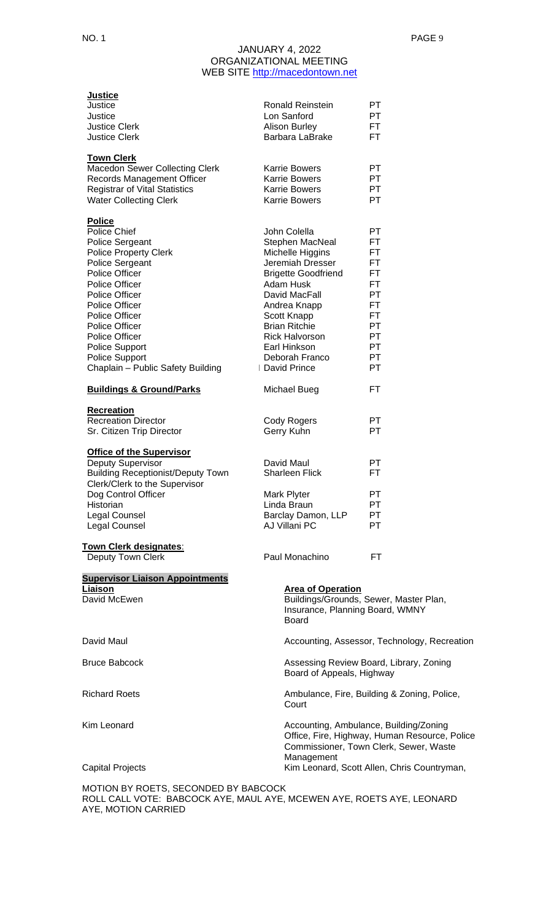| <b>Justice</b>                                                                                                |                                 |                                                                                         |
|---------------------------------------------------------------------------------------------------------------|---------------------------------|-----------------------------------------------------------------------------------------|
| Justice                                                                                                       | <b>Ronald Reinstein</b>         | PТ                                                                                      |
| Justice                                                                                                       | Lon Sanford                     | PT                                                                                      |
| <b>Justice Clerk</b>                                                                                          | <b>Alison Burley</b>            | FT.                                                                                     |
| <b>Justice Clerk</b>                                                                                          | Barbara LaBrake                 | FT.                                                                                     |
| <b>Town Clerk</b>                                                                                             |                                 |                                                                                         |
| <b>Macedon Sewer Collecting Clerk</b>                                                                         | <b>Karrie Bowers</b>            | PT.                                                                                     |
| Records Management Officer                                                                                    | <b>Karrie Bowers</b>            | <b>PT</b>                                                                               |
| <b>Registrar of Vital Statistics</b>                                                                          | <b>Karrie Bowers</b>            | PT                                                                                      |
| <b>Water Collecting Clerk</b>                                                                                 | <b>Karrie Bowers</b>            | <b>PT</b>                                                                               |
| <b>Police</b>                                                                                                 |                                 |                                                                                         |
| <b>Police Chief</b>                                                                                           | John Colella                    | PT                                                                                      |
| Police Sergeant                                                                                               | Stephen MacNeal                 | FT                                                                                      |
| <b>Police Property Clerk</b>                                                                                  | Michelle Higgins                | FT                                                                                      |
| Police Sergeant                                                                                               | Jeremiah Dresser                | FT.                                                                                     |
| <b>Police Officer</b>                                                                                         | <b>Brigette Goodfriend</b>      | FT.                                                                                     |
| <b>Police Officer</b>                                                                                         | Adam Husk                       | FT.                                                                                     |
| <b>Police Officer</b>                                                                                         | David MacFall                   | <b>PT</b>                                                                               |
| <b>Police Officer</b>                                                                                         | Andrea Knapp                    | FT                                                                                      |
| <b>Police Officer</b>                                                                                         | Scott Knapp                     | <b>FT</b>                                                                               |
| <b>Police Officer</b>                                                                                         | <b>Brian Ritchie</b>            | <b>PT</b>                                                                               |
| Police Officer                                                                                                | <b>Rick Halvorson</b>           | <b>PT</b>                                                                               |
| Police Support                                                                                                | Earl Hinkson                    | PT                                                                                      |
| <b>Police Support</b>                                                                                         | Deborah Franco                  | PT.                                                                                     |
| Chaplain - Public Safety Building                                                                             | David Prince                    | PT                                                                                      |
| <b>Buildings &amp; Ground/Parks</b>                                                                           | <b>Michael Bueg</b>             | FT.                                                                                     |
| <b>Recreation</b>                                                                                             |                                 |                                                                                         |
| <b>Recreation Director</b>                                                                                    | Cody Rogers                     | PT.                                                                                     |
| Sr. Citizen Trip Director                                                                                     | Gerry Kuhn                      | PT                                                                                      |
|                                                                                                               |                                 |                                                                                         |
| <b>Office of the Supervisor</b>                                                                               |                                 |                                                                                         |
| Deputy Supervisor                                                                                             | David Maul                      | PT.                                                                                     |
| <b>Building Receptionist/Deputy Town</b>                                                                      | <b>Sharleen Flick</b>           | FT.                                                                                     |
| Clerk/Clerk to the Supervisor                                                                                 |                                 |                                                                                         |
| Dog Control Officer                                                                                           | Mark Plyter                     | PT                                                                                      |
| Historian                                                                                                     | Linda Braun                     | PT                                                                                      |
| Legal Counsel                                                                                                 | Barclay Damon, LLP              | PT                                                                                      |
| Legal Counsel                                                                                                 | AJ Villani PC                   | PT                                                                                      |
| Town Clerk designates:                                                                                        |                                 |                                                                                         |
| <b>Deputy Town Clerk</b>                                                                                      | Paul Monachino                  | FT                                                                                      |
| <b>Supervisor Liaison Appointments</b>                                                                        |                                 |                                                                                         |
| Liaison                                                                                                       | <b>Area of Operation</b>        |                                                                                         |
| David McEwen                                                                                                  |                                 | Buildings/Grounds, Sewer, Master Plan,                                                  |
|                                                                                                               | Insurance, Planning Board, WMNY |                                                                                         |
|                                                                                                               | <b>Board</b>                    |                                                                                         |
| David Maul                                                                                                    |                                 | Accounting, Assessor, Technology, Recreation                                            |
|                                                                                                               |                                 |                                                                                         |
| <b>Bruce Babcock</b>                                                                                          |                                 | Assessing Review Board, Library, Zoning                                                 |
|                                                                                                               | Board of Appeals, Highway       |                                                                                         |
| <b>Richard Roets</b>                                                                                          |                                 | Ambulance, Fire, Building & Zoning, Police,                                             |
|                                                                                                               | Court                           |                                                                                         |
|                                                                                                               |                                 |                                                                                         |
| Kim Leonard                                                                                                   |                                 | Accounting, Ambulance, Building/Zoning<br>Office, Fire, Highway, Human Resource, Police |
|                                                                                                               |                                 | Commissioner, Town Clerk, Sewer, Waste                                                  |
|                                                                                                               | Management                      |                                                                                         |
| <b>Capital Projects</b>                                                                                       |                                 | Kim Leonard, Scott Allen, Chris Countryman,                                             |
|                                                                                                               |                                 |                                                                                         |
| MOTION BY ROETS, SECONDED BY BABCOCK<br>ROLL CALL VOTE: BABCOCK AYE, MAUL AYE, MCEWEN AYE, ROETS AYE, LEONARD |                                 |                                                                                         |

AYE, MOTION CARRIED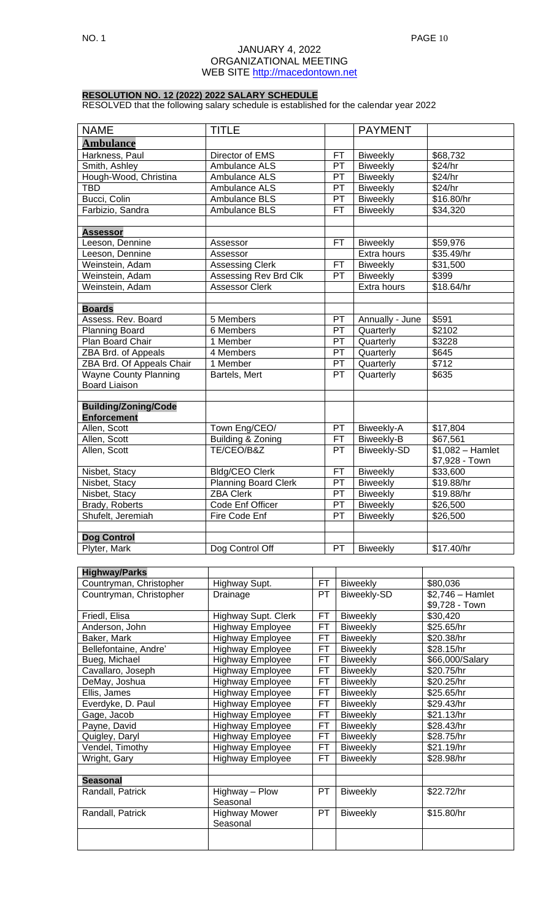# **RESOLUTION NO. 12 (2022) 2022 SALARY SCHEDULE**

RESOLVED that the following salary schedule is established for the calendar year 2022

| <b>NAME</b>                  | <b>TITLE</b>                |           | <b>PAYMENT</b>     |                   |
|------------------------------|-----------------------------|-----------|--------------------|-------------------|
| <b>Ambulance</b>             |                             |           |                    |                   |
| Harkness, Paul               | Director of EMS             | FТ        | <b>Biweekly</b>    | \$68,732          |
| Smith, Ashley                | Ambulance ALS               | PT        | <b>Biweekly</b>    | \$24/hr           |
| Hough-Wood, Christina        | Ambulance ALS               | PT        | <b>Biweekly</b>    | \$24/hr           |
| <b>TBD</b>                   | Ambulance ALS               | PT        | <b>Biweekly</b>    | \$24/hr           |
| Bucci, Colin                 | Ambulance BLS               | PT        | <b>Biweekly</b>    | \$16.80/hr        |
| Farbizio, Sandra             | Ambulance BLS               | <b>FT</b> | <b>Biweekly</b>    | \$34,320          |
|                              |                             |           |                    |                   |
| <b>Assessor</b>              |                             |           |                    |                   |
| Leeson, Dennine              | Assessor                    | FT        | <b>Biweekly</b>    | \$59,976          |
| Leeson, Dennine              | Assessor                    |           | Extra hours        | \$35.49/hr        |
| Weinstein, Adam              | <b>Assessing Clerk</b>      | <b>FT</b> | <b>Biweekly</b>    | \$31,500          |
| Weinstein, Adam              | Assessing Rev Brd Clk       | PT        | Biweekly           | \$399             |
| Weinstein, Adam              | <b>Assessor Clerk</b>       |           | Extra hours        | \$18.64/hr        |
|                              |                             |           |                    |                   |
| <b>Boards</b>                |                             |           |                    |                   |
| Assess. Rev. Board           | 5 Members                   | PT        | Annually - June    | \$591             |
| <b>Planning Board</b>        | 6 Members                   | PT        | Quarterly          | \$2102            |
| Plan Board Chair             | 1 Member                    | PT        | Quarterly          | \$3228            |
| ZBA Brd. of Appeals          | 4 Members                   | PT        | Quarterly          | \$645             |
| ZBA Brd. Of Appeals Chair    | 1 Member                    | PT        | Quarterly          | \$712             |
| <b>Wayne County Planning</b> | Bartels, Mert               | PT        | Quarterly          | \$635             |
| <b>Board Liaison</b>         |                             |           |                    |                   |
|                              |                             |           |                    |                   |
| <b>Building/Zoning/Code</b>  |                             |           |                    |                   |
| <b>Enforcement</b>           |                             |           |                    |                   |
| Allen, Scott                 | Town Eng/CEO/               | PT        | Biweekly-A         | \$17,804          |
| Allen, Scott                 | Building & Zoning           | FT        | Biweekly-B         | \$67,561          |
| Allen, Scott                 | TE/CEO/B&Z                  | <b>PT</b> | <b>Biweekly-SD</b> | $$1,082 - Hamlet$ |
|                              |                             |           |                    | \$7,928 - Town    |
| Nisbet, Stacy                | <b>Bldg/CEO Clerk</b>       | <b>FT</b> | <b>Biweekly</b>    | \$33,600          |
| Nisbet, Stacy                | <b>Planning Board Clerk</b> | PT        | <b>Biweekly</b>    | \$19.88/hr        |
| Nisbet, Stacy                | <b>ZBA Clerk</b>            | PT        | Biweekly           | \$19.88/hr        |
| Brady, Roberts               | Code Enf Officer            | PT        | Biweekly           | \$26,500          |
| Shufelt, Jeremiah            | Fire Code Enf               | PT        | <b>Biweekly</b>    | \$26,500          |
|                              |                             |           |                    |                   |
| <b>Dog Control</b>           |                             |           |                    |                   |
| Plyter, Mark                 | Dog Control Off             | PT        | <b>Biweekly</b>    | \$17.40/hr        |

| <b>Highway/Parks</b>    |                         |     |                 |                   |
|-------------------------|-------------------------|-----|-----------------|-------------------|
| Countryman, Christopher | Highway Supt.           | FT. | <b>Biweekly</b> | \$80,036          |
| Countryman, Christopher | Drainage                | PT. | Biweekly-SD     | $$2,746 - Hamlet$ |
|                         |                         |     |                 | \$9,728 - Town    |
| Friedl, Elisa           | Highway Supt. Clerk     | FT  | <b>Biweekly</b> | \$30,420          |
| Anderson, John          | <b>Highway Employee</b> | FT. | <b>Biweekly</b> | \$25.65/hr        |
| Baker, Mark             | <b>Highway Employee</b> | FT  | <b>Biweekly</b> | \$20.38/hr        |
| Bellefontaine, Andre'   | <b>Highway Employee</b> | FT  | <b>Biweekly</b> | \$28.15/hr        |
| Bueg, Michael           | <b>Highway Employee</b> | FT. | <b>Biweekly</b> | \$66,000/Salary   |
| Cavallaro, Joseph       | <b>Highway Employee</b> | FT. | <b>Biweekly</b> | \$20.75/hr        |
| DeMay, Joshua           | <b>Highway Employee</b> | FT. | <b>Biweekly</b> | \$20.25/hr        |
| Ellis, James            | <b>Highway Employee</b> | FT  | <b>Biweekly</b> | \$25.65/hr        |
| Everdyke, D. Paul       | <b>Highway Employee</b> | FT. | <b>Biweekly</b> | \$29.43/hr        |
| Gage, Jacob             | <b>Highway Employee</b> | FT. | <b>Biweekly</b> | \$21.13/hr        |
| Payne, David            | <b>Highway Employee</b> | FT. | <b>Biweekly</b> | \$28.43/hr        |
| Quigley, Daryl          | <b>Highway Employee</b> | FT  | <b>Biweekly</b> | \$28.75/hr        |
| Vendel, Timothy         | Highway Employee        | FT  | <b>Biweekly</b> | \$21.19/hr        |
| Wright, Gary            | <b>Highway Employee</b> | FT  | <b>Biweekly</b> | \$28.98/hr        |
|                         |                         |     |                 |                   |
| <b>Seasonal</b>         |                         |     |                 |                   |
| Randall, Patrick        | Highway - Plow          | PT. | <b>Biweekly</b> | \$22.72/hr        |
|                         | Seasonal                |     |                 |                   |
| Randall, Patrick        | <b>Highway Mower</b>    | PT. | <b>Biweekly</b> | \$15.80/hr        |
|                         | Seasonal                |     |                 |                   |
|                         |                         |     |                 |                   |
|                         |                         |     |                 |                   |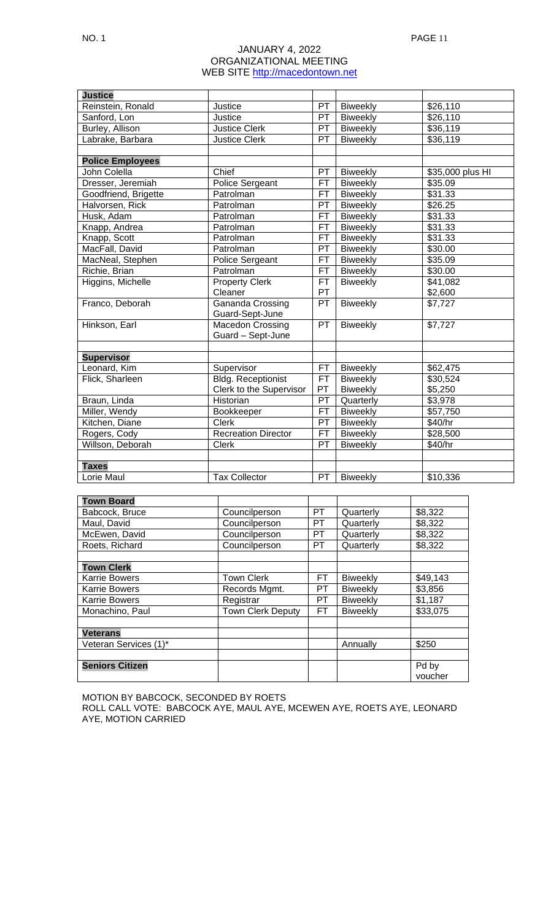#### NO. 1 PAGE 11

# JANUARY 4, 2022 ORGANIZATIONAL MEETING WEB SITE [http://macedontown.net](http://macedontown.net/)

| <b>Justice</b>          |                            |           |                 |                  |
|-------------------------|----------------------------|-----------|-----------------|------------------|
| Reinstein, Ronald       | Justice                    | PT        | <b>Biweekly</b> | \$26,110         |
| Sanford, Lon            | Justice                    | PT        | <b>Biweekly</b> | \$26,110         |
| Burley, Allison         | <b>Justice Clerk</b>       | PT        | <b>Biweekly</b> | \$36,119         |
| Labrake, Barbara        | <b>Justice Clerk</b>       | <b>PT</b> | <b>Biweekly</b> | \$36,119         |
|                         |                            |           |                 |                  |
| <b>Police Employees</b> |                            |           |                 |                  |
| John Colella            | Chief                      | PT        | Biweekly        | \$35,000 plus HI |
| Dresser, Jeremiah       | <b>Police Sergeant</b>     | <b>FT</b> | Biweekly        | \$35.09          |
| Goodfriend, Brigette    | Patrolman                  | FT        | <b>Biweekly</b> | \$31.33          |
| Halvorsen, Rick         | Patrolman                  | PT        | <b>Biweekly</b> | \$26.25          |
| Husk, Adam              | Patrolman                  | FT        | <b>Biweekly</b> | \$31.33          |
| Knapp, Andrea           | Patrolman                  | FT        | <b>Biweekly</b> | \$31.33          |
| Knapp, Scott            | Patrolman                  | FТ        | <b>Biweekly</b> | \$31.33          |
| MacFall, David          | Patrolman                  | PT        | <b>Biweekly</b> | \$30.00          |
| MacNeal, Stephen        | <b>Police Sergeant</b>     | FT        | <b>Biweekly</b> | \$35.09          |
| Richie, Brian           | Patrolman                  | FT        | <b>Biweekly</b> | \$30.00          |
| Higgins, Michelle       | <b>Property Clerk</b>      | FT.       | <b>Biweekly</b> | \$41,082         |
|                         | Cleaner                    | PT        |                 | \$2,600          |
| Franco, Deborah         | Gananda Crossing           | <b>PT</b> | <b>Biweekly</b> | \$7,727          |
|                         | Guard-Sept-June            |           |                 |                  |
| Hinkson, Earl           | <b>Macedon Crossing</b>    | PT        | <b>Biweekly</b> | \$7,727          |
|                         | Guard - Sept-June          |           |                 |                  |
|                         |                            |           |                 |                  |
| <b>Supervisor</b>       |                            |           |                 |                  |
| Leonard, Kim            | Supervisor                 | FT        | <b>Biweekly</b> | \$62,475         |
| Flick, Sharleen         | <b>Bldg. Receptionist</b>  | FT.       | <b>Biweekly</b> | \$30,524         |
|                         | Clerk to the Supervisor    | PT        | <b>Biweekly</b> | \$5,250          |
| Braun, Linda            | Historian                  | PT        | Quarterly       | \$3,978          |
| Miller, Wendy           | Bookkeeper                 | <b>FT</b> | Biweekly        | \$57,750         |
| Kitchen, Diane          | <b>Clerk</b>               | PT        | <b>Biweekly</b> | \$40/hr          |
| Rogers, Cody            | <b>Recreation Director</b> | <b>FT</b> | <b>Biweekly</b> | \$28,500         |
| Willson, Deborah        | <b>Clerk</b>               | PT        | <b>Biweekly</b> | \$40/hr          |
|                         |                            |           |                 |                  |
| <b>Taxes</b>            |                            |           |                 |                  |
| Lorie Maul              | <b>Tax Collector</b>       | PT        | <b>Biweekly</b> | \$10,336         |

| <b>Town Board</b>      |                          |           |                 |          |
|------------------------|--------------------------|-----------|-----------------|----------|
| Babcock, Bruce         | Councilperson            | PT.       | Quarterly       | \$8,322  |
| Maul, David            | Councilperson            | <b>PT</b> | Quarterly       | \$8,322  |
| McEwen, David          | Councilperson            | <b>PT</b> | Quarterly       | \$8,322  |
| Roets, Richard         | Councilperson            | <b>PT</b> | Quarterly       | \$8,322  |
|                        |                          |           |                 |          |
| <b>Town Clerk</b>      |                          |           |                 |          |
| <b>Karrie Bowers</b>   | <b>Town Clerk</b>        | FT        | <b>Biweekly</b> | \$49,143 |
| <b>Karrie Bowers</b>   | Records Mgmt.            | PT        | <b>Biweekly</b> | \$3,856  |
| <b>Karrie Bowers</b>   | Registrar                | PТ        | <b>Biweekly</b> | \$1,187  |
| Monachino, Paul        | <b>Town Clerk Deputy</b> | FТ        | <b>Biweekly</b> | \$33,075 |
|                        |                          |           |                 |          |
| <b>Veterans</b>        |                          |           |                 |          |
| Veteran Services (1)*  |                          |           | Annually        | \$250    |
|                        |                          |           |                 |          |
| <b>Seniors Citizen</b> |                          |           |                 | Pd by    |
|                        |                          |           |                 | voucher  |

MOTION BY BABCOCK, SECONDED BY ROETS

ROLL CALL VOTE: BABCOCK AYE, MAUL AYE, MCEWEN AYE, ROETS AYE, LEONARD AYE, MOTION CARRIED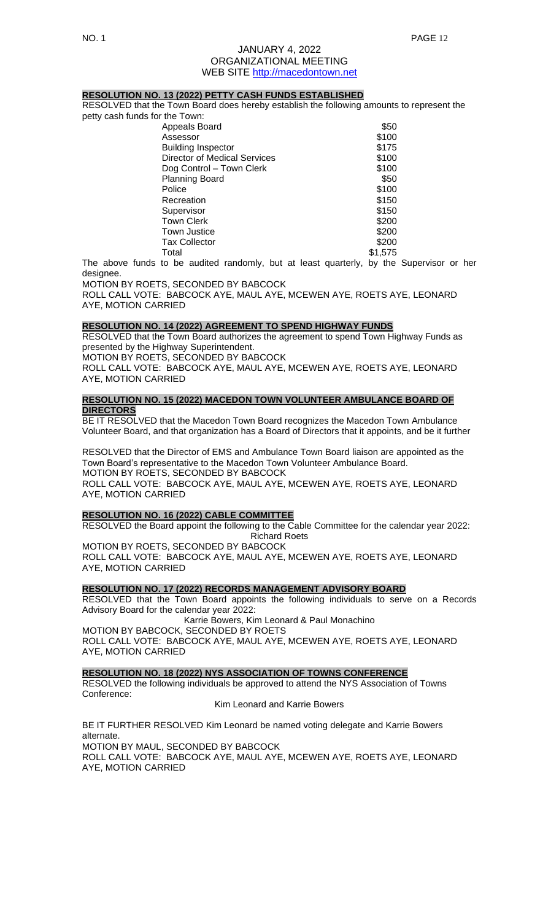### **RESOLUTION NO. 13 (2022) PETTY CASH FUNDS ESTABLISHED**

RESOLVED that the Town Board does hereby establish the following amounts to represent the petty cash funds for the T

| the Town:                    |         |
|------------------------------|---------|
| Appeals Board                | \$50    |
| Assessor                     | \$100   |
| <b>Building Inspector</b>    | \$175   |
| Director of Medical Services | \$100   |
| Dog Control - Town Clerk     | \$100   |
| <b>Planning Board</b>        | \$50    |
| Police                       | \$100   |
| Recreation                   | \$150   |
| Supervisor                   | \$150   |
| Town Clerk                   | \$200   |
| Town Justice                 | \$200   |
| Tax Collector                | \$200   |
| Total                        | \$1.575 |

The above funds to be audited randomly, but at least quarterly, by the Supervisor or her desianee.

MOTION BY ROETS, SECONDED BY BABCOCK

ROLL CALL VOTE: BABCOCK AYE, MAUL AYE, MCEWEN AYE, ROETS AYE, LEONARD AYE, MOTION CARRIED

## **RESOLUTION NO. 14 (2022) AGREEMENT TO SPEND HIGHWAY FUNDS**

RESOLVED that the Town Board authorizes the agreement to spend Town Highway Funds as presented by the Highway Superintendent.

MOTION BY ROETS, SECONDED BY BABCOCK

ROLL CALL VOTE: BABCOCK AYE, MAUL AYE, MCEWEN AYE, ROETS AYE, LEONARD AYE, MOTION CARRIED

## **RESOLUTION NO. 15 (2022) MACEDON TOWN VOLUNTEER AMBULANCE BOARD OF DIRECTORS**

BE IT RESOLVED that the Macedon Town Board recognizes the Macedon Town Ambulance Volunteer Board, and that organization has a Board of Directors that it appoints, and be it further

RESOLVED that the Director of EMS and Ambulance Town Board liaison are appointed as the Town Board's representative to the Macedon Town Volunteer Ambulance Board. MOTION BY ROETS, SECONDED BY BABCOCK ROLL CALL VOTE: BABCOCK AYE, MAUL AYE, MCEWEN AYE, ROETS AYE, LEONARD AYE, MOTION CARRIED

# **RESOLUTION NO. 16 (2022) CABLE COMMITTEE**

RESOLVED the Board appoint the following to the Cable Committee for the calendar year 2022: Richard Roets

MOTION BY ROETS, SECONDED BY BABCOCK ROLL CALL VOTE: BABCOCK AYE, MAUL AYE, MCEWEN AYE, ROETS AYE, LEONARD AYE, MOTION CARRIED

### **RESOLUTION NO. 17 (2022) RECORDS MANAGEMENT ADVISORY BOARD**

RESOLVED that the Town Board appoints the following individuals to serve on a Records Advisory Board for the calendar year 2022:

Karrie Bowers, Kim Leonard & Paul Monachino MOTION BY BABCOCK, SECONDED BY ROETS ROLL CALL VOTE: BABCOCK AYE, MAUL AYE, MCEWEN AYE, ROETS AYE, LEONARD AYE, MOTION CARRIED

#### **RESOLUTION NO. 18 (2022) NYS ASSOCIATION OF TOWNS CONFERENCE**

RESOLVED the following individuals be approved to attend the NYS Association of Towns Conference:

Kim Leonard and Karrie Bowers

BE IT FURTHER RESOLVED Kim Leonard be named voting delegate and Karrie Bowers alternate. MOTION BY MAUL, SECONDED BY BABCOCK ROLL CALL VOTE: BABCOCK AYE, MAUL AYE, MCEWEN AYE, ROETS AYE, LEONARD AYE, MOTION CARRIED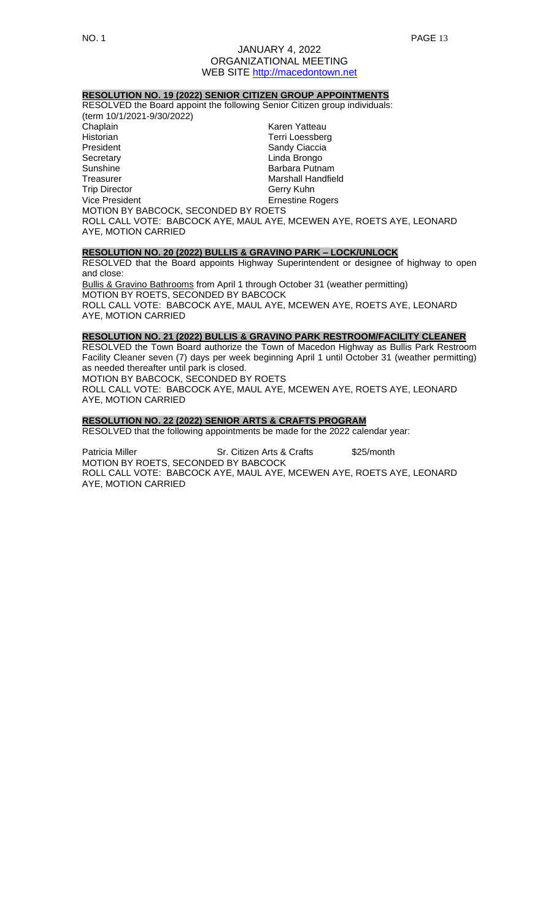# **RESOLUTION NO. 19 (2022) SENIOR CITIZEN GROUP APPOINTMENTS**

RESOLVED the Board appoint the following Senior Citizen group individuals:

(term 10/1/2021-9/30/2022) Chaplain **Karen Yatteau** Historian External Services of Terri Loessberg<br>President Terri Sandy Ciaccia Sandy Ciaccia Secretary **Linda Brongo** Sunshine Barbara Putnam **Marshall Handfield** Trip Director Gerry Kuhn Vice President **Example 2018** Ernestine Rogers MOTION BY BABCOCK, SECONDED BY ROETS ROLL CALL VOTE: BABCOCK AYE, MAUL AYE, MCEWEN AYE, ROETS AYE, LEONARD AYE, MOTION CARRIED

#### **RESOLUTION NO. 20 (2022) BULLIS & GRAVINO PARK – LOCK/UNLOCK**

RESOLVED that the Board appoints Highway Superintendent or designee of highway to open and close:

Bullis & Gravino Bathrooms from April 1 through October 31 (weather permitting) MOTION BY ROETS, SECONDED BY BABCOCK ROLL CALL VOTE: BABCOCK AYE, MAUL AYE, MCEWEN AYE, ROETS AYE, LEONARD

AYE, MOTION CARRIED

## **RESOLUTION NO. 21 (2022) BULLIS & GRAVINO PARK RESTROOM/FACILITY CLEANER**

RESOLVED the Town Board authorize the Town of Macedon Highway as Bullis Park Restroom Facility Cleaner seven (7) days per week beginning April 1 until October 31 (weather permitting) as needed thereafter until park is closed.

MOTION BY BABCOCK, SECONDED BY ROETS

ROLL CALL VOTE: BABCOCK AYE, MAUL AYE, MCEWEN AYE, ROETS AYE, LEONARD AYE, MOTION CARRIED

# **RESOLUTION NO. 22 (2022) SENIOR ARTS & CRAFTS PROGRAM**

RESOLVED that the following appointments be made for the 2022 calendar year:

Patricia Miller Sr. Citizen Arts & Crafts \$25/month MOTION BY ROETS, SECONDED BY BABCOCK ROLL CALL VOTE: BABCOCK AYE, MAUL AYE, MCEWEN AYE, ROETS AYE, LEONARD AYE, MOTION CARRIED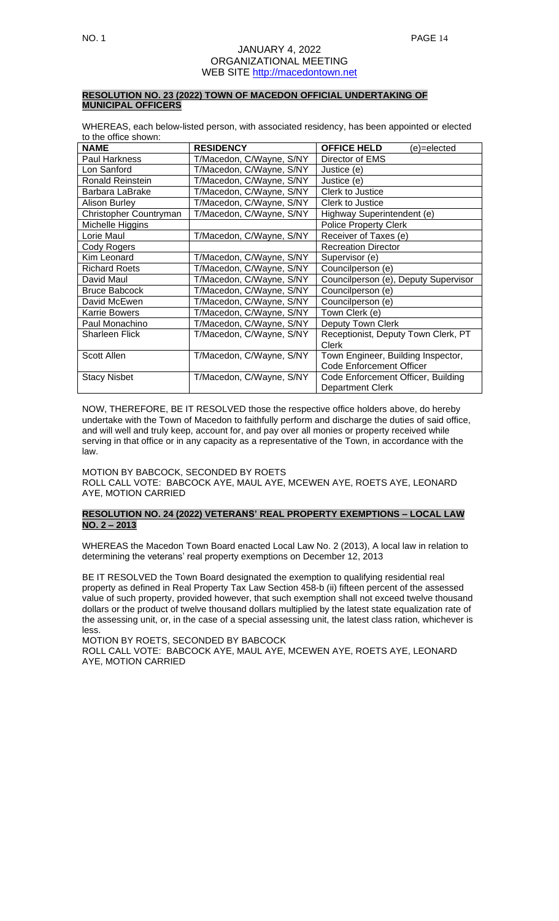## **RESOLUTION NO. 23 (2022) TOWN OF MACEDON OFFICIAL UNDERTAKING OF MUNICIPAL OFFICERS**

WHEREAS, each below-listed person, with associated residency, has been appointed or elected to the office shown:

| <b>NAME</b>             | <b>RESIDENCY</b>         | <b>OFFICE HELD</b><br>(e)=elected    |
|-------------------------|--------------------------|--------------------------------------|
| Paul Harkness           | T/Macedon, C/Wayne, S/NY | Director of EMS                      |
| Lon Sanford             | T/Macedon, C/Wayne, S/NY | Justice (e)                          |
| <b>Ronald Reinstein</b> | T/Macedon, C/Wayne, S/NY | Justice (e)                          |
| Barbara LaBrake         | T/Macedon, C/Wayne, S/NY | Clerk to Justice                     |
| <b>Alison Burley</b>    | T/Macedon, C/Wayne, S/NY | Clerk to Justice                     |
| Christopher Countryman  | T/Macedon, C/Wayne, S/NY | Highway Superintendent (e)           |
| Michelle Higgins        |                          | <b>Police Property Clerk</b>         |
| Lorie Maul              | T/Macedon, C/Wayne, S/NY | Receiver of Taxes (e)                |
| Cody Rogers             |                          | <b>Recreation Director</b>           |
| Kim Leonard             | T/Macedon, C/Wayne, S/NY | Supervisor (e)                       |
| <b>Richard Roets</b>    | T/Macedon, C/Wayne, S/NY | Councilperson (e)                    |
| David Maul              | T/Macedon, C/Wayne, S/NY | Councilperson (e), Deputy Supervisor |
| <b>Bruce Babcock</b>    | T/Macedon, C/Wayne, S/NY | Councilperson (e)                    |
| David McEwen            | T/Macedon, C/Wayne, S/NY | Councilperson (e)                    |
| <b>Karrie Bowers</b>    | T/Macedon, C/Wayne, S/NY | Town Clerk (e)                       |
| Paul Monachino          | T/Macedon, C/Wayne, S/NY | Deputy Town Clerk                    |
| Sharleen Flick          | T/Macedon, C/Wayne, S/NY | Receptionist, Deputy Town Clerk, PT  |
|                         |                          | Clerk                                |
| Scott Allen             | T/Macedon, C/Wayne, S/NY | Town Engineer, Building Inspector,   |
|                         |                          | <b>Code Enforcement Officer</b>      |
| <b>Stacy Nisbet</b>     | T/Macedon, C/Wayne, S/NY | Code Enforcement Officer, Building   |
|                         |                          | <b>Department Clerk</b>              |

NOW, THEREFORE, BE IT RESOLVED those the respective office holders above, do hereby undertake with the Town of Macedon to faithfully perform and discharge the duties of said office, and will well and truly keep, account for, and pay over all monies or property received while serving in that office or in any capacity as a representative of the Town, in accordance with the law.

MOTION BY BABCOCK, SECONDED BY ROETS ROLL CALL VOTE: BABCOCK AYE, MAUL AYE, MCEWEN AYE, ROETS AYE, LEONARD AYE, MOTION CARRIED

# **RESOLUTION NO. 24 (2022) VETERANS' REAL PROPERTY EXEMPTIONS – LOCAL LAW NO. 2 – 2013**

WHEREAS the Macedon Town Board enacted Local Law No. 2 (2013), A local law in relation to determining the veterans' real property exemptions on December 12, 2013

BE IT RESOLVED the Town Board designated the exemption to qualifying residential real property as defined in Real Property Tax Law Section 458-b (ii) fifteen percent of the assessed value of such property, provided however, that such exemption shall not exceed twelve thousand dollars or the product of twelve thousand dollars multiplied by the latest state equalization rate of the assessing unit, or, in the case of a special assessing unit, the latest class ration, whichever is less.

MOTION BY ROETS, SECONDED BY BABCOCK

ROLL CALL VOTE: BABCOCK AYE, MAUL AYE, MCEWEN AYE, ROETS AYE, LEONARD AYE, MOTION CARRIED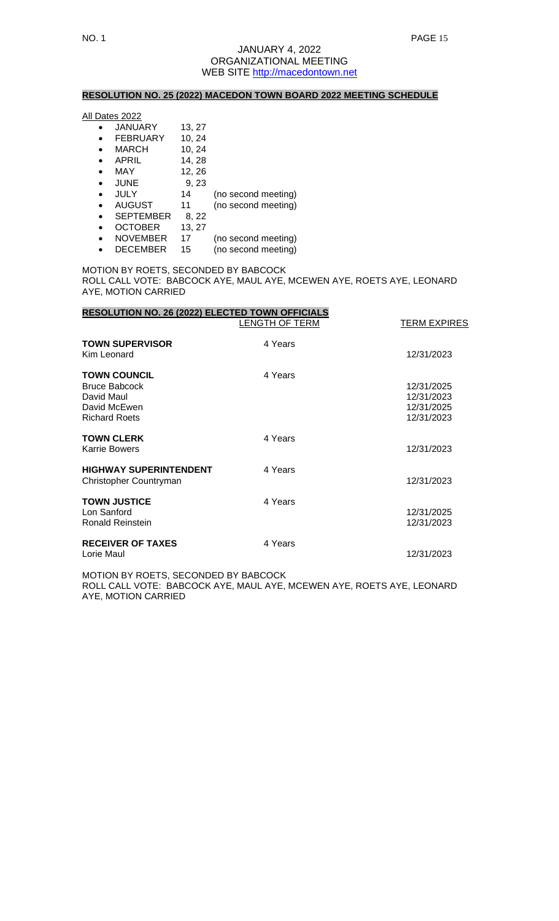# **RESOLUTION NO. 25 (2022) MACEDON TOWN BOARD 2022 MEETING SCHEDULE**

All Dates 2022

- JANUARY 13, 27 • FEBRUARY 10, 24 • MARCH 10, 24 •  $APRIL$  14, 28 • MAY 12, 26 • JUNE 9, 23 • JULY 14 (no second meeting) • AUGUST 11 (no second meeting)
- SEPTEMBER 8, 22
- OCTOBER 13, 27
- NOVEMBER 17 (no second meeting)<br>• DECEMBER 15 (no second meeting)
- DECEMBER 15 (no second meeting)

MOTION BY ROETS, SECONDED BY BABCOCK ROLL CALL VOTE: BABCOCK AYE, MAUL AYE, MCEWEN AYE, ROETS AYE, LEONARD AYE, MOTION CARRIED

| <b>RESOLUTION NO. 26 (2022) ELECTED TOWN OFFICIALS</b>                                            | LENGTH OF TERM | TERM EXPIRES                                         |
|---------------------------------------------------------------------------------------------------|----------------|------------------------------------------------------|
| <b>TOWN SUPERVISOR</b><br>Kim Leonard                                                             | 4 Years        | 12/31/2023                                           |
| <b>TOWN COUNCIL</b><br><b>Bruce Babcock</b><br>David Maul<br>David McEwen<br><b>Richard Roets</b> | 4 Years        | 12/31/2025<br>12/31/2023<br>12/31/2025<br>12/31/2023 |
| <b>TOWN CLERK</b><br><b>Karrie Bowers</b>                                                         | 4 Years        | 12/31/2023                                           |
| <b>HIGHWAY SUPERINTENDENT</b><br>Christopher Countryman                                           | 4 Years        | 12/31/2023                                           |
| <b>TOWN JUSTICE</b><br>Lon Sanford<br>Ronald Reinstein                                            | 4 Years        | 12/31/2025<br>12/31/2023                             |
| <b>RECEIVER OF TAXES</b><br>Lorie Maul                                                            | 4 Years        | 12/31/2023                                           |

MOTION BY ROETS, SECONDED BY BABCOCK ROLL CALL VOTE: BABCOCK AYE, MAUL AYE, MCEWEN AYE, ROETS AYE, LEONARD AYE, MOTION CARRIED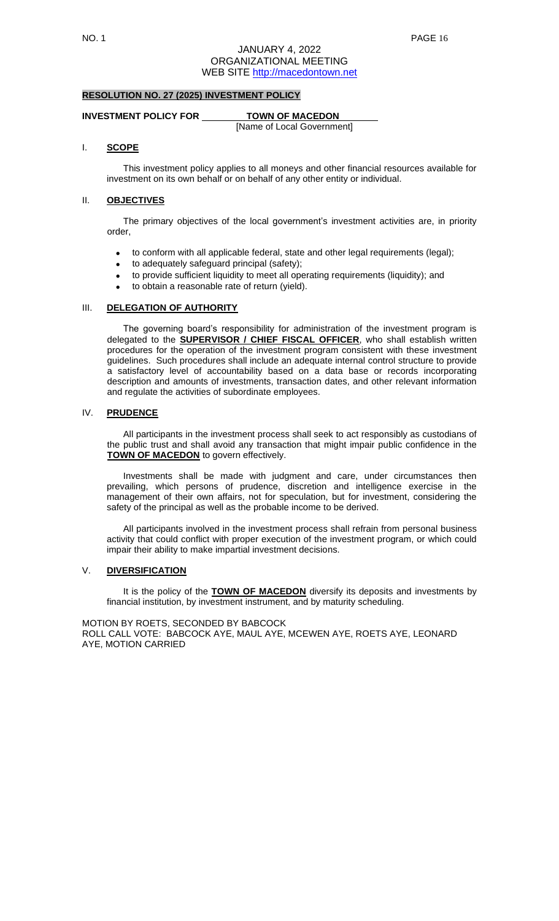# **RESOLUTION NO. 27 (2025) INVESTMENT POLICY**

#### **INVESTMENT POLICY FOR TOWN OF MACEDON**

[Name of Local Government]

## I. **SCOPE**

This investment policy applies to all moneys and other financial resources available for investment on its own behalf or on behalf of any other entity or individual.

## II. **OBJECTIVES**

The primary objectives of the local government's investment activities are, in priority order,

- to conform with all applicable federal, state and other legal requirements (legal);
- to adequately safeguard principal (safety);
- to provide sufficient liquidity to meet all operating requirements (liquidity); and
- to obtain a reasonable rate of return (yield).

#### III. **DELEGATION OF AUTHORITY**

The governing board's responsibility for administration of the investment program is delegated to the **SUPERVISOR / CHIEF FISCAL OFFICER**, who shall establish written procedures for the operation of the investment program consistent with these investment guidelines. Such procedures shall include an adequate internal control structure to provide a satisfactory level of accountability based on a data base or records incorporating description and amounts of investments, transaction dates, and other relevant information and regulate the activities of subordinate employees.

# IV. **PRUDENCE**

All participants in the investment process shall seek to act responsibly as custodians of the public trust and shall avoid any transaction that might impair public confidence in the **TOWN OF MACEDON** to govern effectively.

Investments shall be made with judgment and care, under circumstances then prevailing, which persons of prudence, discretion and intelligence exercise in the management of their own affairs, not for speculation, but for investment, considering the safety of the principal as well as the probable income to be derived.

All participants involved in the investment process shall refrain from personal business activity that could conflict with proper execution of the investment program, or which could impair their ability to make impartial investment decisions.

## V. **DIVERSIFICATION**

It is the policy of the **TOWN OF MACEDON** diversify its deposits and investments by financial institution, by investment instrument, and by maturity scheduling.

MOTION BY ROETS, SECONDED BY BABCOCK ROLL CALL VOTE: BABCOCK AYE, MAUL AYE, MCEWEN AYE, ROETS AYE, LEONARD AYE, MOTION CARRIED